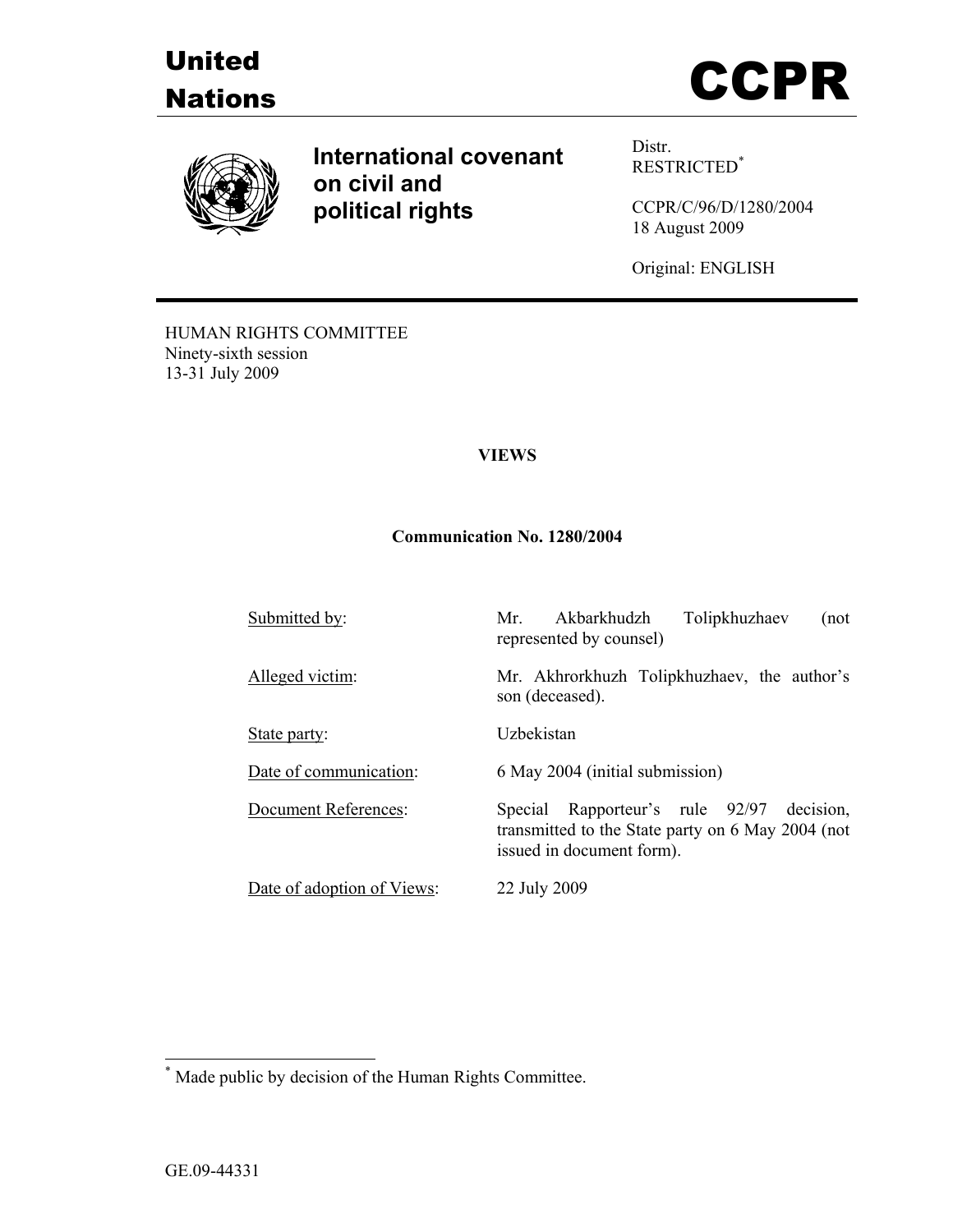





**International covenant on civil and political rights**

Distr. RESTRICTED\*

CCPR/C/96/D/1280/2004 18 August 2009

Original: ENGLISH

HUMAN RIGHTS COMMITTEE Ninety-sixth session 13-31 July 2009

## **VIEWS**

### **Communication No. 1280/2004**

| Submitted by:               | Tolipkhuzhaev<br>Akbarkhudzh<br>Mr<br>(not<br>represented by counsel)                                                       |
|-----------------------------|-----------------------------------------------------------------------------------------------------------------------------|
| Alleged victim:             | Mr. Akhrorkhuzh Tolipkhuzhaev, the author's<br>son (deceased).                                                              |
| State party:                | Uzbekistan                                                                                                                  |
| Date of communication:      | 6 May 2004 (initial submission)                                                                                             |
| <b>Document References:</b> | Special Rapporteur's rule 92/97 decision,<br>transmitted to the State party on 6 May 2004 (not<br>issued in document form). |
| Date of adoption of Views:  | 22 July 2009                                                                                                                |

 \* Made public by decision of the Human Rights Committee.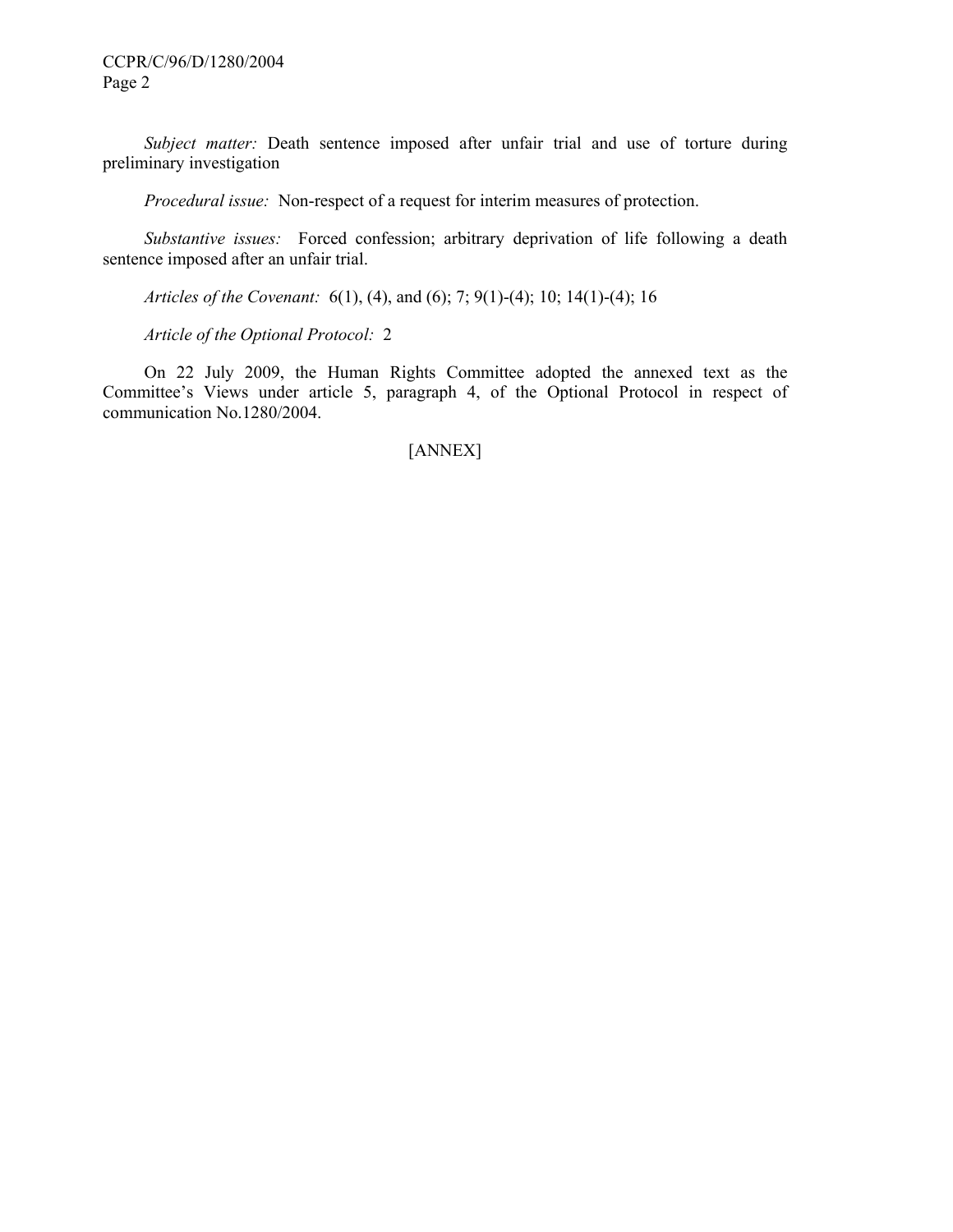*Subject matter:* Death sentence imposed after unfair trial and use of torture during preliminary investigation

 *Procedural issue:* Non-respect of a request for interim measures of protection.

 *Substantive issues:* Forced confession; arbitrary deprivation of life following a death sentence imposed after an unfair trial.

 *Articles of the Covenant:* 6(1), (4), and (6); 7; 9(1)-(4); 10; 14(1)-(4); 16

 *Article of the Optional Protocol:* 2

 On 22 July 2009, the Human Rights Committee adopted the annexed text as the Committee's Views under article 5, paragraph 4, of the Optional Protocol in respect of communication No.1280/2004.

# [ANNEX]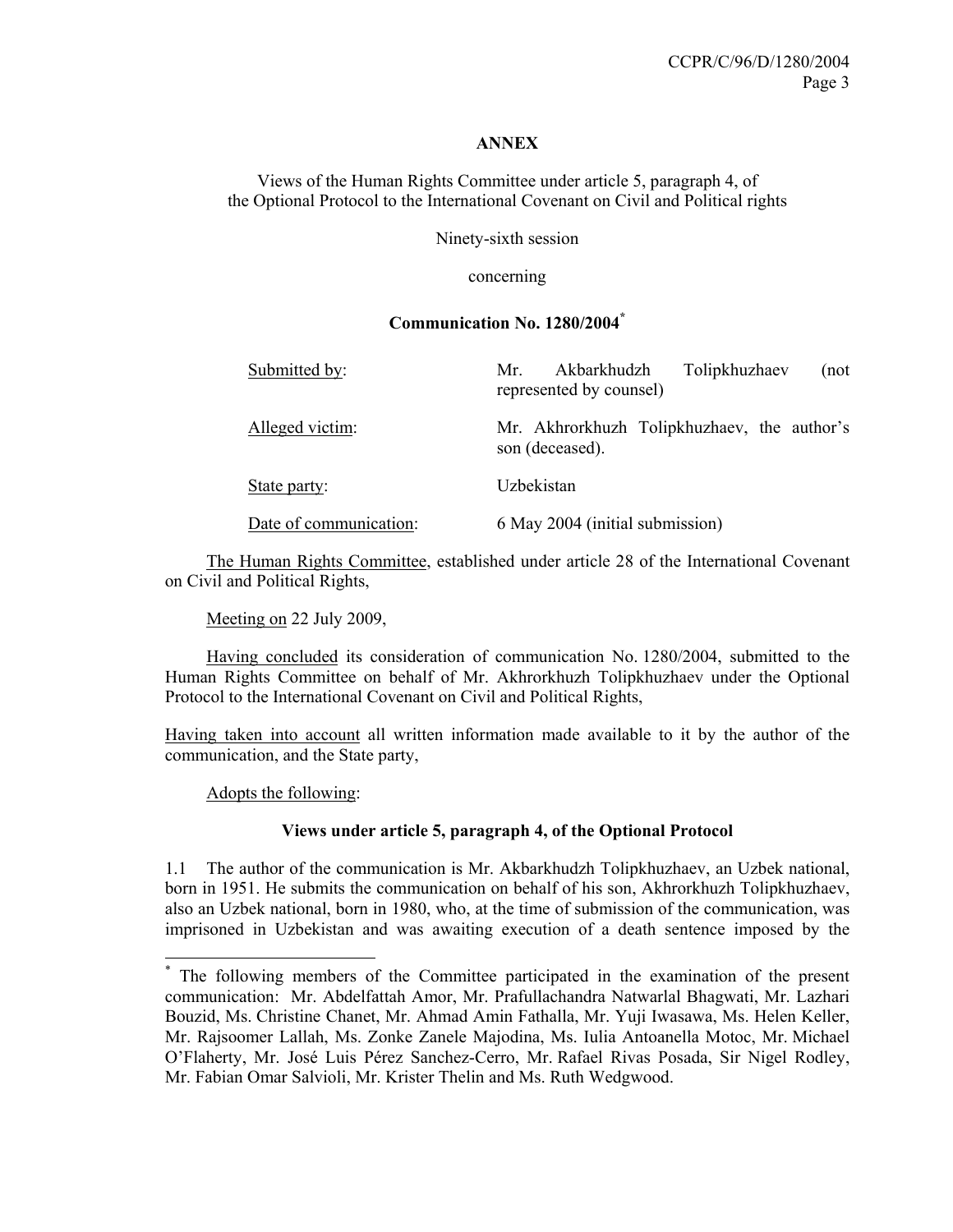### **ANNEX**

Views of the Human Rights Committee under article 5, paragraph 4, of the Optional Protocol to the International Covenant on Civil and Political rights

Ninety-sixth session

concerning

### **Communication No. 1280/2004\***

| Submitted by:          | Tolipkhuzhaev<br>Akbarkhudzh<br>Mr<br>(not<br>represented by counsel) |
|------------------------|-----------------------------------------------------------------------|
| Alleged victim:        | Mr. Akhrorkhuzh Tolipkhuzhaev, the author's<br>son (deceased).        |
| State party:           | Uzbekistan                                                            |
| Date of communication: | 6 May 2004 (initial submission)                                       |

 The Human Rights Committee, established under article 28 of the International Covenant on Civil and Political Rights,

Meeting on 22 July 2009,

 Having concluded its consideration of communication No. 1280/2004, submitted to the Human Rights Committee on behalf of Mr. Akhrorkhuzh Tolipkhuzhaev under the Optional Protocol to the International Covenant on Civil and Political Rights,

Having taken into account all written information made available to it by the author of the communication, and the State party,

Adopts the following:

 $\overline{a}$ 

### **Views under article 5, paragraph 4, of the Optional Protocol**

1.1 The author of the communication is Mr. Akbarkhudzh Tolipkhuzhaev, an Uzbek national, born in 1951. He submits the communication on behalf of his son, Akhrorkhuzh Tolipkhuzhaev, also an Uzbek national, born in 1980, who, at the time of submission of the communication, was imprisoned in Uzbekistan and was awaiting execution of a death sentence imposed by the

<sup>\*</sup> The following members of the Committee participated in the examination of the present communication: Mr. Abdelfattah Amor, Mr. Prafullachandra Natwarlal Bhagwati, Mr. Lazhari Bouzid, Ms. Christine Chanet, Mr. Ahmad Amin Fathalla, Mr. Yuji Iwasawa, Ms. Helen Keller, Mr. Rajsoomer Lallah, Ms. Zonke Zanele Majodina, Ms. Iulia Antoanella Motoc, Mr. Michael O'Flaherty, Mr. José Luis Pérez Sanchez-Cerro, Mr. Rafael Rivas Posada, Sir Nigel Rodley, Mr. Fabian Omar Salvioli, Mr. Krister Thelin and Ms. Ruth Wedgwood.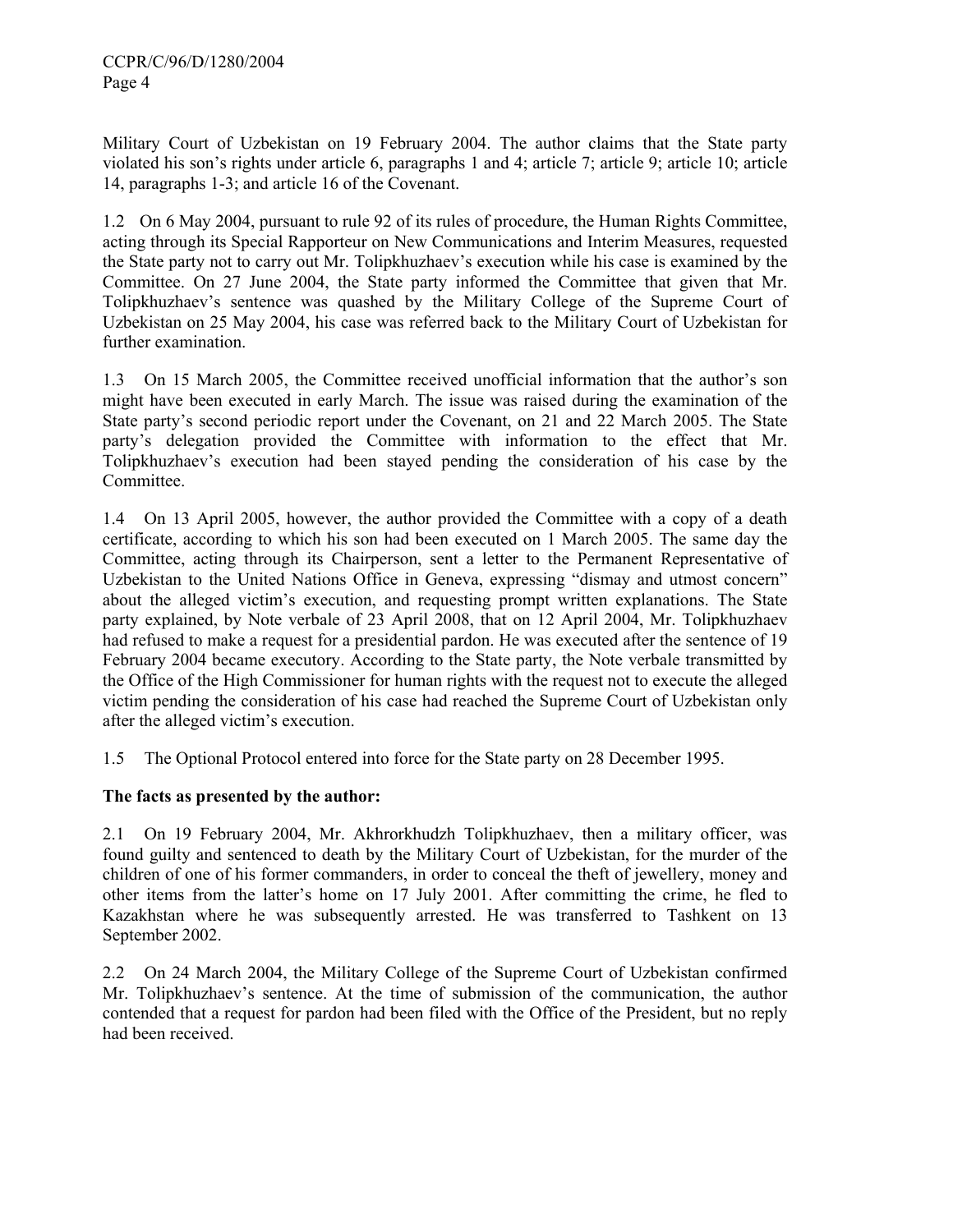Military Court of Uzbekistan on 19 February 2004. The author claims that the State party violated his son's rights under article 6, paragraphs 1 and 4; article 7; article 9; article 10; article 14, paragraphs 1-3; and article 16 of the Covenant.

1.2 On 6 May 2004, pursuant to rule 92 of its rules of procedure, the Human Rights Committee, acting through its Special Rapporteur on New Communications and Interim Measures, requested the State party not to carry out Mr. Tolipkhuzhaev's execution while his case is examined by the Committee. On 27 June 2004, the State party informed the Committee that given that Mr. Tolipkhuzhaev's sentence was quashed by the Military College of the Supreme Court of Uzbekistan on 25 May 2004, his case was referred back to the Military Court of Uzbekistan for further examination.

1.3 On 15 March 2005, the Committee received unofficial information that the author's son might have been executed in early March. The issue was raised during the examination of the State party's second periodic report under the Covenant, on 21 and 22 March 2005. The State party's delegation provided the Committee with information to the effect that Mr. Tolipkhuzhaev's execution had been stayed pending the consideration of his case by the Committee.

1.4 On 13 April 2005, however, the author provided the Committee with a copy of a death certificate, according to which his son had been executed on 1 March 2005. The same day the Committee, acting through its Chairperson, sent a letter to the Permanent Representative of Uzbekistan to the United Nations Office in Geneva, expressing "dismay and utmost concern" about the alleged victim's execution, and requesting prompt written explanations. The State party explained, by Note verbale of 23 April 2008, that on 12 April 2004, Mr. Tolipkhuzhaev had refused to make a request for a presidential pardon. He was executed after the sentence of 19 February 2004 became executory. According to the State party, the Note verbale transmitted by the Office of the High Commissioner for human rights with the request not to execute the alleged victim pending the consideration of his case had reached the Supreme Court of Uzbekistan only after the alleged victim's execution.

1.5 The Optional Protocol entered into force for the State party on 28 December 1995.

# **The facts as presented by the author:**

2.1 On 19 February 2004, Mr. Akhrorkhudzh Tolipkhuzhaev, then a military officer, was found guilty and sentenced to death by the Military Court of Uzbekistan, for the murder of the children of one of his former commanders, in order to conceal the theft of jewellery, money and other items from the latter's home on 17 July 2001. After committing the crime, he fled to Kazakhstan where he was subsequently arrested. He was transferred to Tashkent on 13 September 2002.

2.2 On 24 March 2004, the Military College of the Supreme Court of Uzbekistan confirmed Mr. Tolipkhuzhaev's sentence. At the time of submission of the communication, the author contended that a request for pardon had been filed with the Office of the President, but no reply had been received.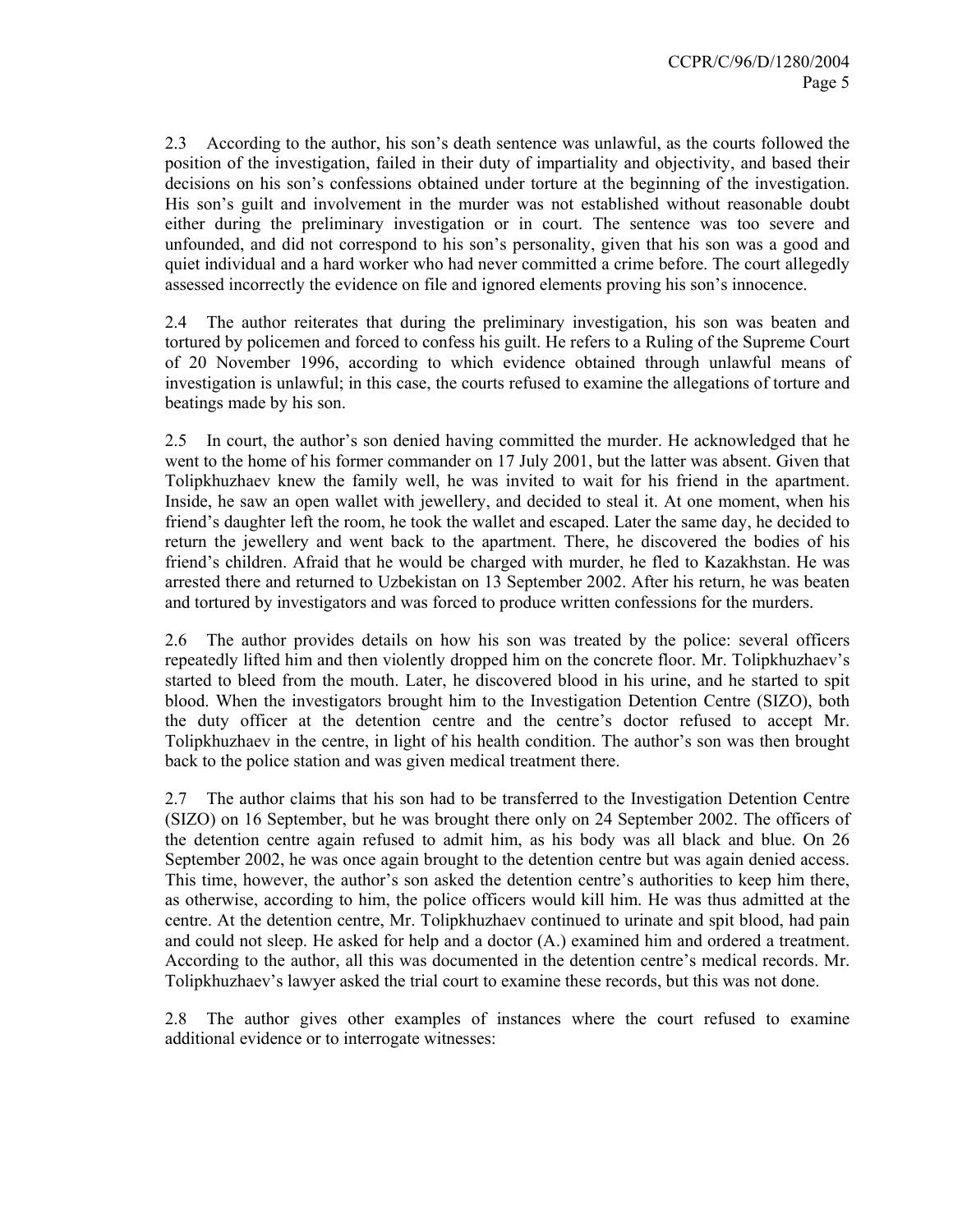2.3 According to the author, his son's death sentence was unlawful, as the courts followed the position of the investigation, failed in their duty of impartiality and objectivity, and based their decisions on his son's confessions obtained under torture at the beginning of the investigation. His son's guilt and involvement in the murder was not established without reasonable doubt either during the preliminary investigation or in court. The sentence was too severe and unfounded, and did not correspond to his son's personality, given that his son was a good and quiet individual and a hard worker who had never committed a crime before. The court allegedly assessed incorrectly the evidence on file and ignored elements proving his son's innocence.

2.4 The author reiterates that during the preliminary investigation, his son was beaten and tortured by policemen and forced to confess his guilt. He refers to a Ruling of the Supreme Court of 20 November 1996, according to which evidence obtained through unlawful means of investigation is unlawful; in this case, the courts refused to examine the allegations of torture and beatings made by his son.

2.5 In court, the author's son denied having committed the murder. He acknowledged that he went to the home of his former commander on 17 July 2001, but the latter was absent. Given that Tolipkhuzhaev knew the family well, he was invited to wait for his friend in the apartment. Inside, he saw an open wallet with jewellery, and decided to steal it. At one moment, when his friend's daughter left the room, he took the wallet and escaped. Later the same day, he decided to return the jewellery and went back to the apartment. There, he discovered the bodies of his friend's children. Afraid that he would be charged with murder, he fled to Kazakhstan. He was arrested there and returned to Uzbekistan on 13 September 2002. After his return, he was beaten and tortured by investigators and was forced to produce written confessions for the murders.

2.6 The author provides details on how his son was treated by the police: several officers repeatedly lifted him and then violently dropped him on the concrete floor. Mr. Tolipkhuzhaev's started to bleed from the mouth. Later, he discovered blood in his urine, and he started to spit blood. When the investigators brought him to the Investigation Detention Centre (SIZO), both the duty officer at the detention centre and the centre's doctor refused to accept Mr. Tolipkhuzhaev in the centre, in light of his health condition. The author's son was then brought back to the police station and was given medical treatment there.

2.7 The author claims that his son had to be transferred to the Investigation Detention Centre (SIZO) on 16 September, but he was brought there only on 24 September 2002. The officers of the detention centre again refused to admit him, as his body was all black and blue. On 26 September 2002, he was once again brought to the detention centre but was again denied access. This time, however, the author's son asked the detention centre's authorities to keep him there, as otherwise, according to him, the police officers would kill him. He was thus admitted at the centre. At the detention centre, Mr. Tolipkhuzhaev continued to urinate and spit blood, had pain and could not sleep. He asked for help and a doctor (A.) examined him and ordered a treatment. According to the author, all this was documented in the detention centre's medical records. Mr. Tolipkhuzhaev's lawyer asked the trial court to examine these records, but this was not done.

2.8 The author gives other examples of instances where the court refused to examine additional evidence or to interrogate witnesses: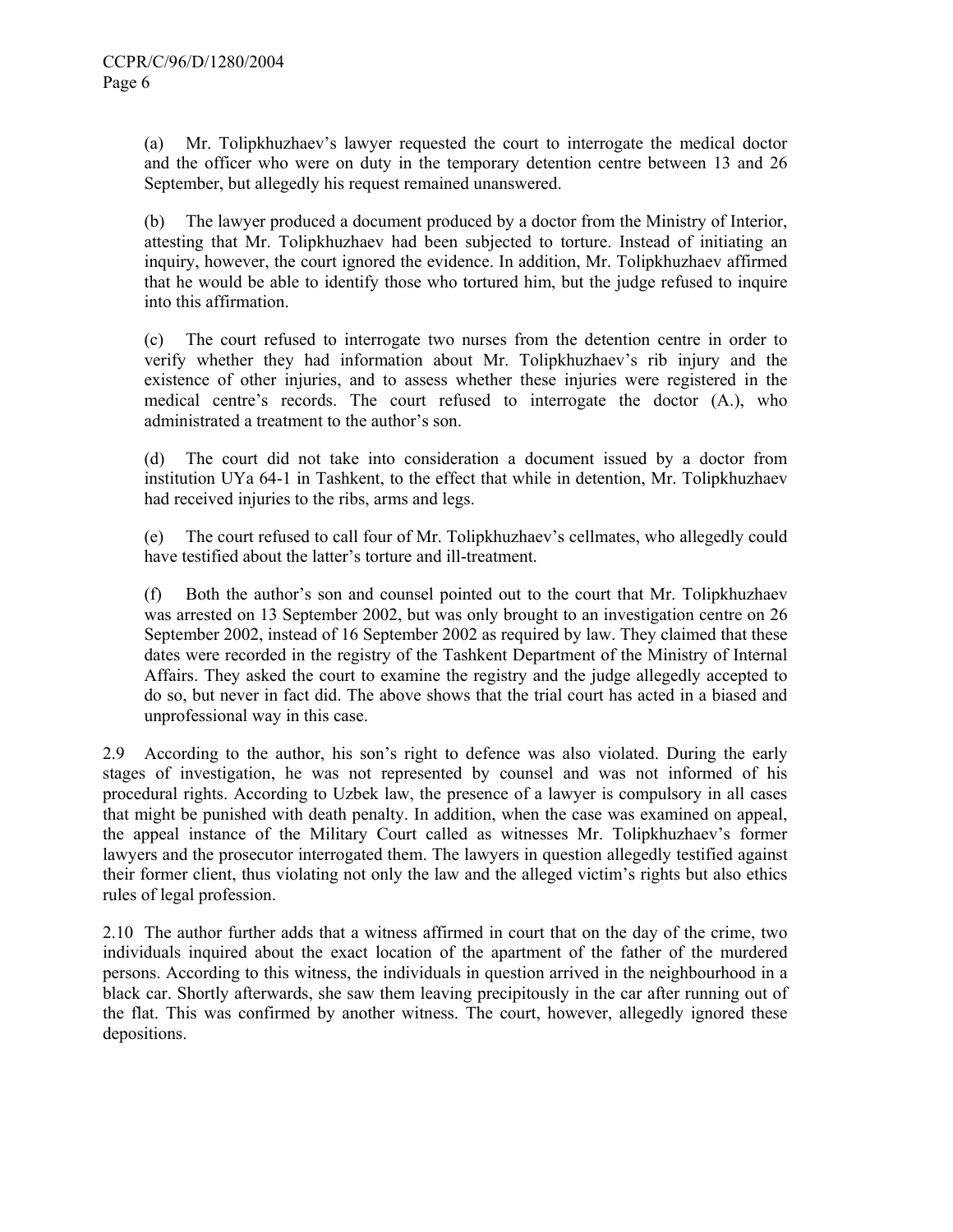(a) Mr. Tolipkhuzhaev's lawyer requested the court to interrogate the medical doctor and the officer who were on duty in the temporary detention centre between 13 and 26 September, but allegedly his request remained unanswered.

(b) The lawyer produced a document produced by a doctor from the Ministry of Interior, attesting that Mr. Tolipkhuzhaev had been subjected to torture. Instead of initiating an inquiry, however, the court ignored the evidence. In addition, Mr. Tolipkhuzhaev affirmed that he would be able to identify those who tortured him, but the judge refused to inquire into this affirmation.

(c) The court refused to interrogate two nurses from the detention centre in order to verify whether they had information about Mr. Tolipkhuzhaev's rib injury and the existence of other injuries, and to assess whether these injuries were registered in the medical centre's records. The court refused to interrogate the doctor (A.), who administrated a treatment to the author's son.

(d) The court did not take into consideration a document issued by a doctor from institution UYa 64-1 in Tashkent, to the effect that while in detention, Mr. Tolipkhuzhaev had received injuries to the ribs, arms and legs.

(e) The court refused to call four of Mr. Tolipkhuzhaev's cellmates, who allegedly could have testified about the latter's torture and ill-treatment.

(f) Both the author's son and counsel pointed out to the court that Mr. Tolipkhuzhaev was arrested on 13 September 2002, but was only brought to an investigation centre on 26 September 2002, instead of 16 September 2002 as required by law. They claimed that these dates were recorded in the registry of the Tashkent Department of the Ministry of Internal Affairs. They asked the court to examine the registry and the judge allegedly accepted to do so, but never in fact did. The above shows that the trial court has acted in a biased and unprofessional way in this case.

2.9 According to the author, his son's right to defence was also violated. During the early stages of investigation, he was not represented by counsel and was not informed of his procedural rights. According to Uzbek law, the presence of a lawyer is compulsory in all cases that might be punished with death penalty. In addition, when the case was examined on appeal, the appeal instance of the Military Court called as witnesses Mr. Tolipkhuzhaev's former lawyers and the prosecutor interrogated them. The lawyers in question allegedly testified against their former client, thus violating not only the law and the alleged victim's rights but also ethics rules of legal profession.

2.10 The author further adds that a witness affirmed in court that on the day of the crime, two individuals inquired about the exact location of the apartment of the father of the murdered persons. According to this witness, the individuals in question arrived in the neighbourhood in a black car. Shortly afterwards, she saw them leaving precipitously in the car after running out of the flat. This was confirmed by another witness. The court, however, allegedly ignored these depositions.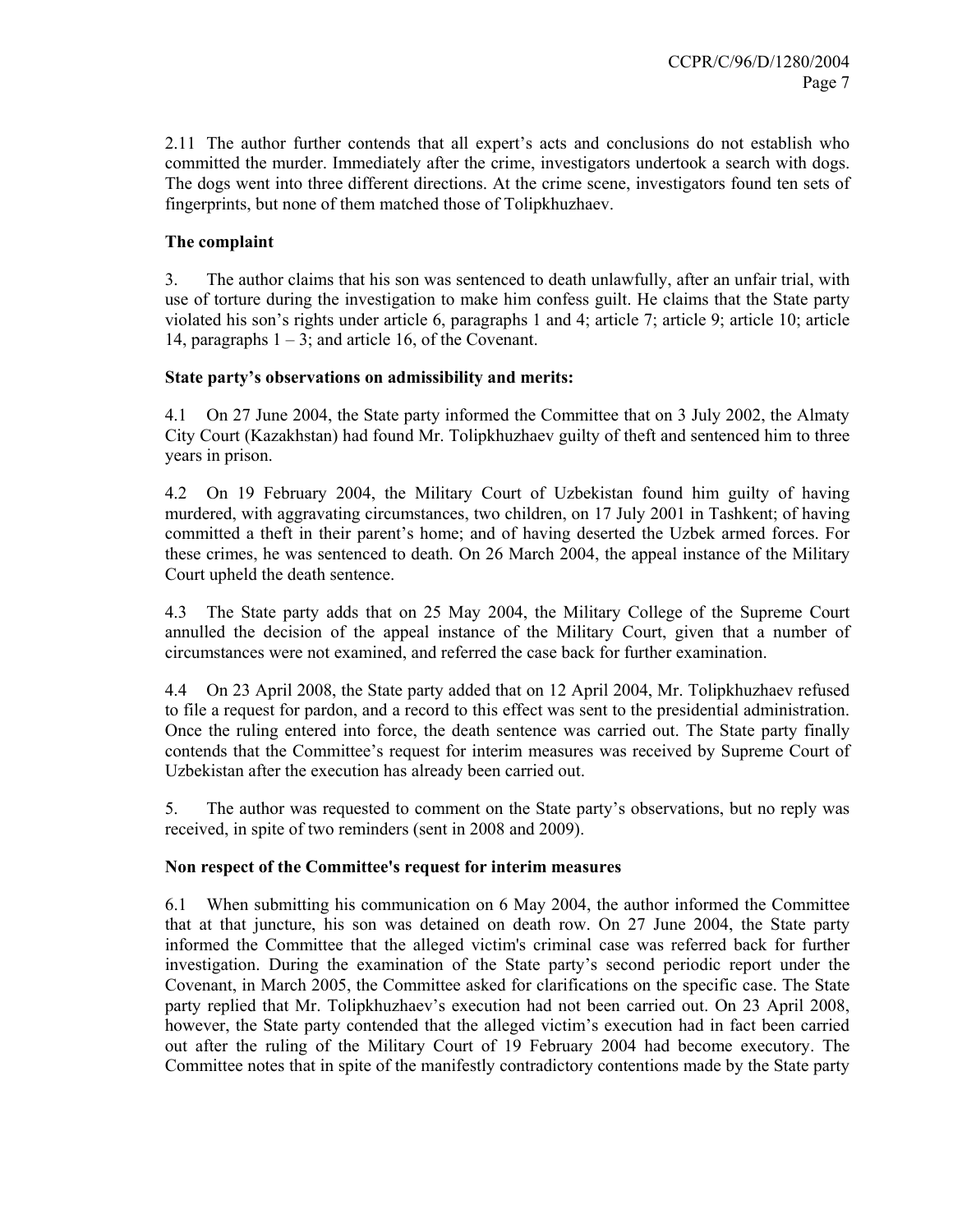2.11 The author further contends that all expert's acts and conclusions do not establish who committed the murder. Immediately after the crime, investigators undertook a search with dogs. The dogs went into three different directions. At the crime scene, investigators found ten sets of fingerprints, but none of them matched those of Tolipkhuzhaev.

## **The complaint**

3. The author claims that his son was sentenced to death unlawfully, after an unfair trial, with use of torture during the investigation to make him confess guilt. He claims that the State party violated his son's rights under article 6, paragraphs 1 and 4; article 7; article 9; article 10; article 14, paragraphs  $1 - 3$ ; and article 16, of the Covenant.

## **State party's observations on admissibility and merits:**

4.1 On 27 June 2004, the State party informed the Committee that on 3 July 2002, the Almaty City Court (Kazakhstan) had found Mr. Tolipkhuzhaev guilty of theft and sentenced him to three years in prison.

4.2 On 19 February 2004, the Military Court of Uzbekistan found him guilty of having murdered, with aggravating circumstances, two children, on 17 July 2001 in Tashkent; of having committed a theft in their parent's home; and of having deserted the Uzbek armed forces. For these crimes, he was sentenced to death. On 26 March 2004, the appeal instance of the Military Court upheld the death sentence.

4.3 The State party adds that on 25 May 2004, the Military College of the Supreme Court annulled the decision of the appeal instance of the Military Court, given that a number of circumstances were not examined, and referred the case back for further examination.

4.4 On 23 April 2008, the State party added that on 12 April 2004, Mr. Tolipkhuzhaev refused to file a request for pardon, and a record to this effect was sent to the presidential administration. Once the ruling entered into force, the death sentence was carried out. The State party finally contends that the Committee's request for interim measures was received by Supreme Court of Uzbekistan after the execution has already been carried out.

5. The author was requested to comment on the State party's observations, but no reply was received, in spite of two reminders (sent in 2008 and 2009).

### **Non respect of the Committee's request for interim measures**

6.1 When submitting his communication on 6 May 2004, the author informed the Committee that at that juncture, his son was detained on death row. On 27 June 2004, the State party informed the Committee that the alleged victim's criminal case was referred back for further investigation. During the examination of the State party's second periodic report under the Covenant, in March 2005, the Committee asked for clarifications on the specific case. The State party replied that Mr. Tolipkhuzhaev's execution had not been carried out. On 23 April 2008, however, the State party contended that the alleged victim's execution had in fact been carried out after the ruling of the Military Court of 19 February 2004 had become executory. The Committee notes that in spite of the manifestly contradictory contentions made by the State party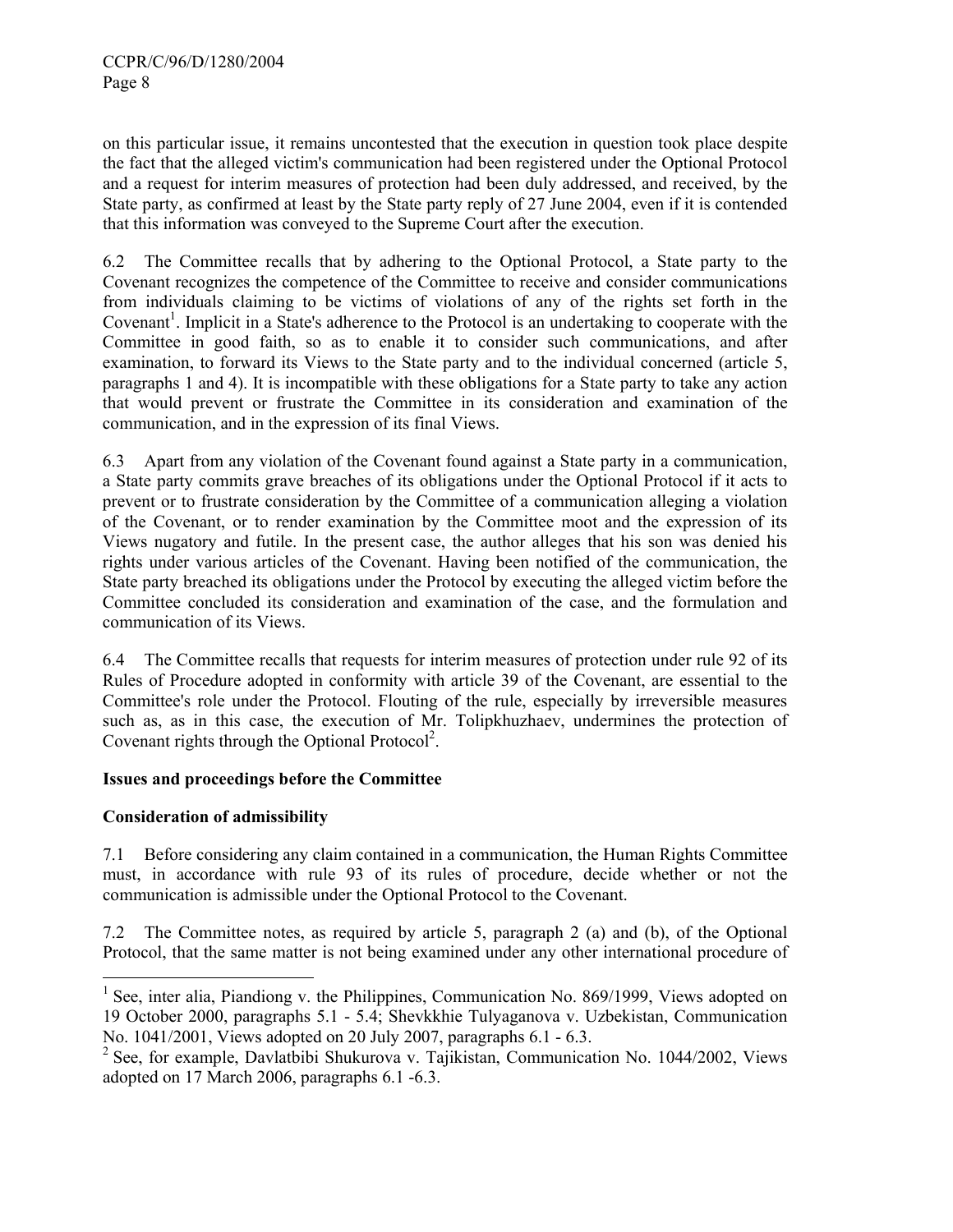on this particular issue, it remains uncontested that the execution in question took place despite the fact that the alleged victim's communication had been registered under the Optional Protocol and a request for interim measures of protection had been duly addressed, and received, by the State party, as confirmed at least by the State party reply of 27 June 2004, even if it is contended that this information was conveyed to the Supreme Court after the execution.

6.2 The Committee recalls that by adhering to the Optional Protocol, a State party to the Covenant recognizes the competence of the Committee to receive and consider communications from individuals claiming to be victims of violations of any of the rights set forth in the Covenant<sup>1</sup>. Implicit in a State's adherence to the Protocol is an undertaking to cooperate with the Committee in good faith, so as to enable it to consider such communications, and after examination, to forward its Views to the State party and to the individual concerned (article 5, paragraphs 1 and 4). It is incompatible with these obligations for a State party to take any action that would prevent or frustrate the Committee in its consideration and examination of the communication, and in the expression of its final Views.

6.3 Apart from any violation of the Covenant found against a State party in a communication, a State party commits grave breaches of its obligations under the Optional Protocol if it acts to prevent or to frustrate consideration by the Committee of a communication alleging a violation of the Covenant, or to render examination by the Committee moot and the expression of its Views nugatory and futile. In the present case, the author alleges that his son was denied his rights under various articles of the Covenant. Having been notified of the communication, the State party breached its obligations under the Protocol by executing the alleged victim before the Committee concluded its consideration and examination of the case, and the formulation and communication of its Views.

6.4 The Committee recalls that requests for interim measures of protection under rule 92 of its Rules of Procedure adopted in conformity with article 39 of the Covenant, are essential to the Committee's role under the Protocol. Flouting of the rule, especially by irreversible measures such as, as in this case, the execution of Mr. Tolipkhuzhaev, undermines the protection of Covenant rights through the Optional Protocol<sup>2</sup>.

# **Issues and proceedings before the Committee**

# **Consideration of admissibility**

 $\overline{a}$ 

7.1 Before considering any claim contained in a communication, the Human Rights Committee must, in accordance with rule 93 of its rules of procedure, decide whether or not the communication is admissible under the Optional Protocol to the Covenant.

7.2 The Committee notes, as required by article 5, paragraph 2 (a) and (b), of the Optional Protocol, that the same matter is not being examined under any other international procedure of

<sup>&</sup>lt;sup>1</sup> See, inter alia, Piandiong v. the Philippines, Communication No. 869/1999, Views adopted on 19 October 2000, paragraphs 5.1 - 5.4; Shevkkhie Tulyaganova v. Uzbekistan, Communication No. 1041/2001, Views adopted on 20 July 2007, paragraphs 6.1 - 6.3.

<sup>&</sup>lt;sup>2</sup> See, for example, Davlatbibi Shukurova v. Tajikistan, Communication No. 1044/2002, Views adopted on 17 March 2006, paragraphs 6.1 -6.3.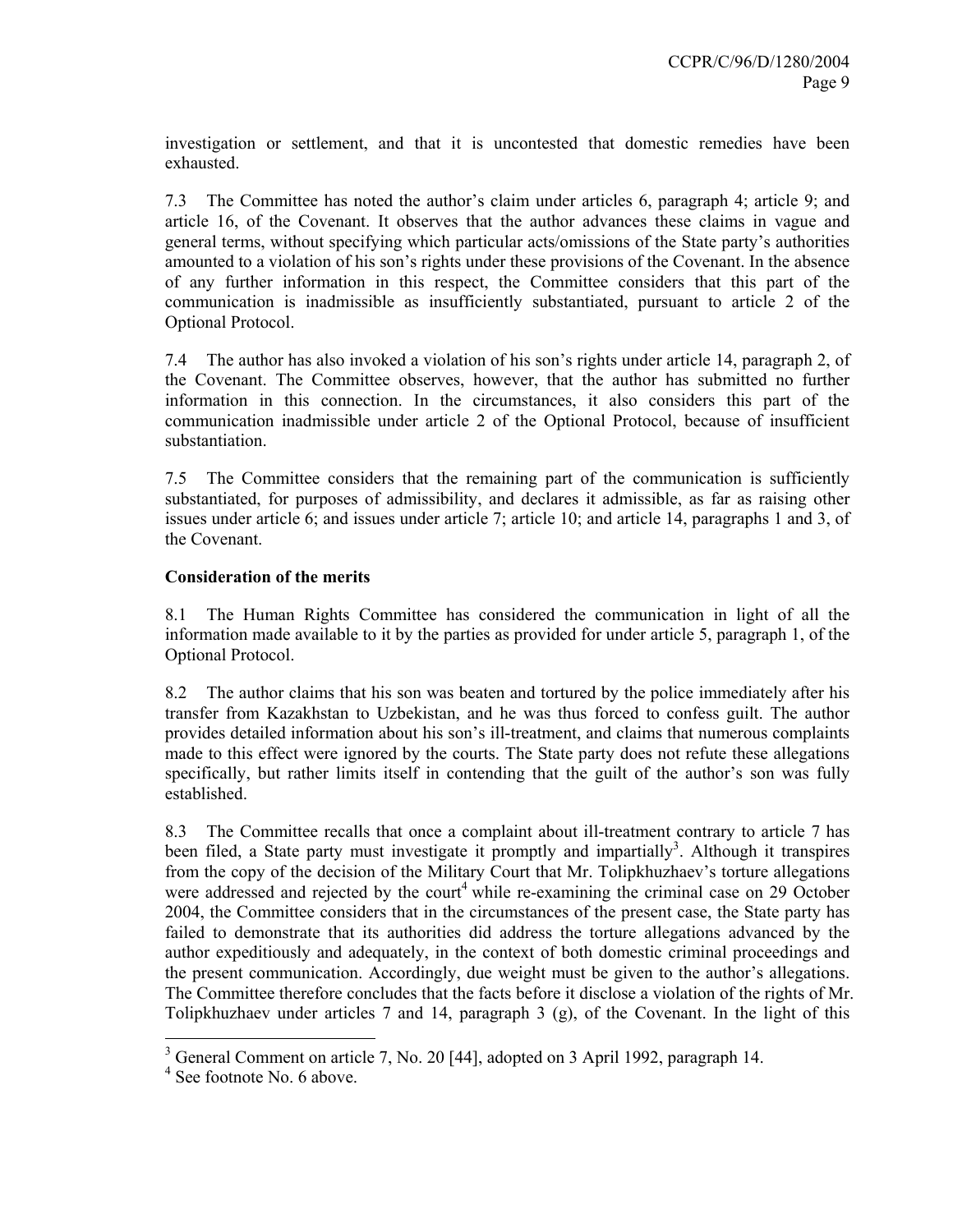investigation or settlement, and that it is uncontested that domestic remedies have been exhausted.

7.3 The Committee has noted the author's claim under articles 6, paragraph 4; article 9; and article 16, of the Covenant. It observes that the author advances these claims in vague and general terms, without specifying which particular acts/omissions of the State party's authorities amounted to a violation of his son's rights under these provisions of the Covenant. In the absence of any further information in this respect, the Committee considers that this part of the communication is inadmissible as insufficiently substantiated, pursuant to article 2 of the Optional Protocol.

7.4 The author has also invoked a violation of his son's rights under article 14, paragraph 2, of the Covenant. The Committee observes, however, that the author has submitted no further information in this connection. In the circumstances, it also considers this part of the communication inadmissible under article 2 of the Optional Protocol, because of insufficient substantiation.

7.5 The Committee considers that the remaining part of the communication is sufficiently substantiated, for purposes of admissibility, and declares it admissible, as far as raising other issues under article 6; and issues under article 7; article 10; and article 14, paragraphs 1 and 3, of the Covenant.

## **Consideration of the merits**

8.1 The Human Rights Committee has considered the communication in light of all the information made available to it by the parties as provided for under article 5, paragraph 1, of the Optional Protocol.

8.2 The author claims that his son was beaten and tortured by the police immediately after his transfer from Kazakhstan to Uzbekistan, and he was thus forced to confess guilt. The author provides detailed information about his son's ill-treatment, and claims that numerous complaints made to this effect were ignored by the courts. The State party does not refute these allegations specifically, but rather limits itself in contending that the guilt of the author's son was fully established.

8.3 The Committee recalls that once a complaint about ill-treatment contrary to article 7 has been filed, a State party must investigate it promptly and impartially<sup>3</sup>. Although it transpires from the copy of the decision of the Military Court that Mr. Tolipkhuzhaev's torture allegations were addressed and rejected by the court<sup>4</sup> while re-examining the criminal case on 29 October 2004, the Committee considers that in the circumstances of the present case, the State party has failed to demonstrate that its authorities did address the torture allegations advanced by the author expeditiously and adequately, in the context of both domestic criminal proceedings and the present communication. Accordingly, due weight must be given to the author's allegations. The Committee therefore concludes that the facts before it disclose a violation of the rights of Mr. Tolipkhuzhaev under articles 7 and 14, paragraph 3 (g), of the Covenant. In the light of this

<sup>&</sup>lt;sup>3</sup> General Comment on article 7, No. 20 [44], adopted on 3 April 1992, paragraph 14.

<sup>&</sup>lt;sup>4</sup> See footnote No. 6 above.